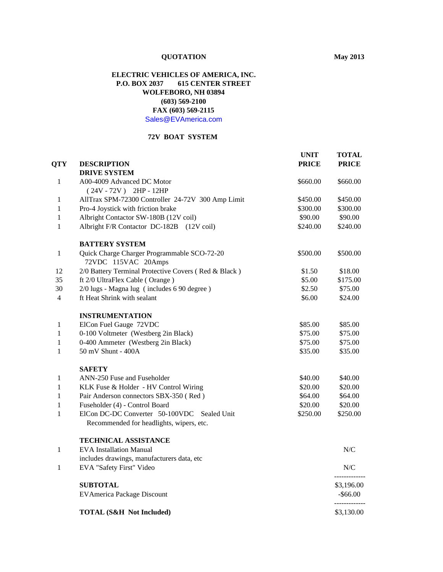# **QUOTATION May 2013**

## **ELECTRIC VEHICLES OF AMERICA, INC. P.O. BOX 2037 615 CENTER STREET WOLFEBORO, NH 03894 (603) 569-2100 FAX (603) 569-2115** [Sales@EVAmerica.com](mailto:Sales@EVAmerica.com)

### **72V BOAT SYSTEM**

|                |                                                                                         | <b>UNIT</b>  | <b>TOTAL</b> |
|----------------|-----------------------------------------------------------------------------------------|--------------|--------------|
| <b>QTY</b>     | <b>DESCRIPTION</b>                                                                      | <b>PRICE</b> | <b>PRICE</b> |
|                | <b>DRIVE SYSTEM</b>                                                                     |              |              |
| 1              | A00-4009 Advanced DC Motor                                                              | \$660.00     | \$660.00     |
|                | $(24V - 72V)$ 2HP - 12HP                                                                |              |              |
| 1              | AllTrax SPM-72300 Controller 24-72V 300 Amp Limit                                       | \$450.00     | \$450.00     |
| 1              | Pro-4 Joystick with friction brake                                                      | \$300.00     | \$300.00     |
| $\mathbf{1}$   | Albright Contactor SW-180B (12V coil)                                                   | \$90.00      | \$90.00      |
| 1              | Albright F/R Contactor DC-182B (12V coil)                                               | \$240.00     | \$240.00     |
|                | <b>BATTERY SYSTEM</b>                                                                   |              |              |
| 1              | Quick Charge Charger Programmable SCO-72-20<br>72VDC 115VAC 20Amps                      | \$500.00     | \$500.00     |
| 12             | 2/0 Battery Terminal Protective Covers (Red & Black)                                    | \$1.50       | \$18.00      |
| 35             | ft 2/0 UltraFlex Cable (Orange)                                                         | \$5.00       | \$175.00     |
| 30             | 2/0 lugs - Magna lug (includes 6 90 degree)                                             | \$2.50       | \$75.00      |
| $\overline{4}$ | ft Heat Shrink with sealant                                                             | \$6.00       | \$24.00      |
|                | <b>INSTRUMENTATION</b>                                                                  |              |              |
| 1              | ElCon Fuel Gauge 72VDC                                                                  | \$85.00      | \$85.00      |
| 1              | 0-100 Voltmeter (Westberg 2in Black)                                                    | \$75.00      | \$75.00      |
| $\mathbf{1}$   | 0-400 Ammeter (Westberg 2in Black)                                                      | \$75.00      | \$75.00      |
| $\mathbf{1}$   | 50 mV Shunt - 400A                                                                      | \$35.00      | \$35.00      |
|                | <b>SAFETY</b>                                                                           |              |              |
| 1              | ANN-250 Fuse and Fuseholder                                                             | \$40.00      | \$40.00      |
| 1              | KLK Fuse & Holder - HV Control Wiring                                                   | \$20.00      | \$20.00      |
| 1              | Pair Anderson connectors SBX-350 (Red)                                                  | \$64.00      | \$64.00      |
| $\mathbf{1}$   | Fuseholder (4) - Control Board                                                          | \$20.00      | \$20.00      |
| $\mathbf{1}$   | ElCon DC-DC Converter 50-100VDC Sealed Unit<br>Recommended for headlights, wipers, etc. | \$250.00     | \$250.00     |
|                | <b>TECHNICAL ASSISTANCE</b>                                                             |              |              |
| 1              | <b>EVA</b> Installation Manual                                                          |              | N/C          |
|                | includes drawings, manufacturers data, etc                                              |              |              |
| 1              | EVA "Safety First" Video                                                                |              | N/C          |
|                | <b>SUBTOTAL</b>                                                                         |              | \$3,196.00   |
|                | <b>EVAmerica Package Discount</b>                                                       |              | $-$ \$66.00  |
|                | <b>TOTAL (S&amp;H Not Included)</b>                                                     |              | \$3,130.00   |